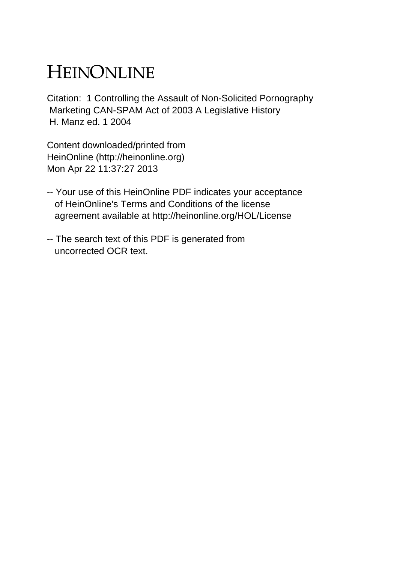# HEINONLINE

Citation: 1 Controlling the Assault of Non-Solicited Pornography Marketing CAN-SPAM Act of 2003 A Legislative History H. Manz ed. 1 2004

Content downloaded/printed from HeinOnline (http://heinonline.org) Mon Apr 22 11:37:27 2013

- -- Your use of this HeinOnline PDF indicates your acceptance of HeinOnline's Terms and Conditions of the license agreement available at http://heinonline.org/HOL/License
- -- The search text of this PDF is generated from uncorrected OCR text.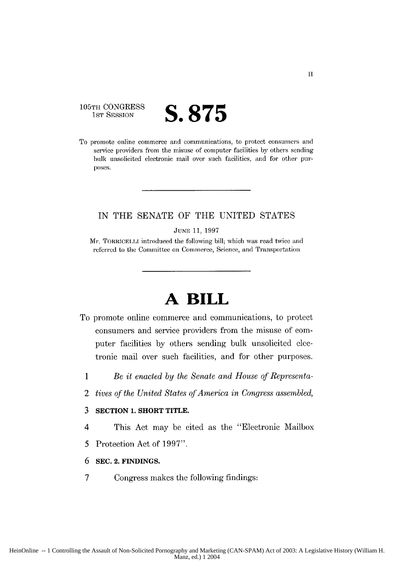105TH CONGRESS<br>1st Session

# 1]ST SESSION **S.875**

To promote online commerce and communications, to protect consumers and service providers from the misuse of computer facilities by others sending bulk unsolicited electronic mail over such facilities, and for other purposes.

## IN THE SENATE OF THE UNITED STATES

JUNE **11,** 1997

Mr. TORRICELLI introduced the following bill; which was read twice and referred to the Committee on Commerce, Science, and Transportation

# **A BILL**

- To promote online commerce and communications, to protect consumers and service providers from the misuse of computer facilities by others sending bulk unsolicited electronic mail over such facilities, and for other purposes.
	- *1 Be it enacted by the Senate and House of Representa-*
	- 2 *tives of the United States of America in Congress assembled,*

#### **3 SECTION 1. SHORT TITLE.**

- 4 This Act may be cited as the "Electronic Mailbox
- *5* Protection Act of 1997".
- **6 SEC. 2. FINDINGS.**
- 7 Congress makes the following findings: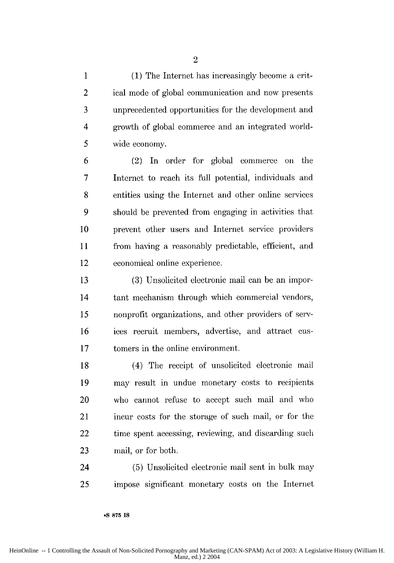1 (1) The Internet has increasingly become a crit-2 ical mode of global communication and now presents 3 unprecedented opportunities for the development and 4 growth of global commerce and an integrated world-*5* wide economy.

6 (2) In order for global commerce **on** the 7 Internet to reach its full potential, individuals and 8 entities using the Internet and other online services 9 should be prevented from engaging in activities that 10 prevent other users and Internet service providers 11 from having a reasonably predictable, efficient, and 12 economical online experience.

13 (3) Unsolicited electronic mail can be an impor-14 tant mechanism through which commercial vendors, 15 nonprofit organizations, and other providers of serv-16 ices recruit members, advertise, and attract cus-17 tomers in the online environment.

18 (4) The receipt of unsolicited electronic mail 19 may result in undue monetary costs to recipients 20 who cannot refuse to accept such mail and who 21 incur costs for the storage of such mail, or for the 22 time spent accessing, reviewing, and discarding such 23 mail, or for both.

24 (5) Unsolicited electronic mail sent in bulk may 25 impose significant monetary costs on the Internet

**-S 875 IS**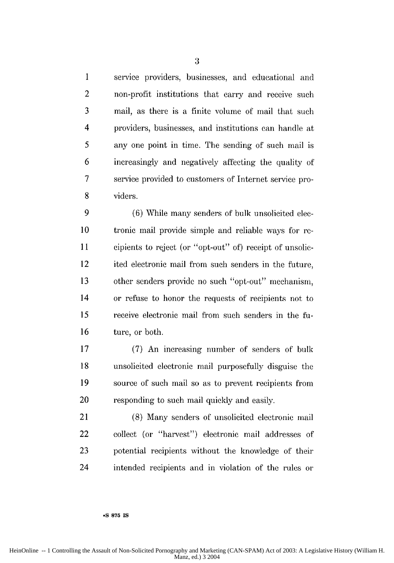1 service providers, businesses, and educational and 2 non-profit institutions that carry and receive such 3 mail, as there is a finite volume of mail that such 4 providers, businesses, and institutions can handle at 5 any one point in time. The sending of such mail is 6 increasingly and negatively affecting the quality of 7 service provided to customers of Internet service pro-8 viders.

9 (6) While many senders of bulk unsolicited elec-**10** tronic mail provide simple and reliable ways for re-**II** cipients to reject (or "opt-out" of) receipt of unsolic-12 ited electronic mail from such senders in the future, 13 other senders provide no such "opt-out" mechanism, 14 or refuse to honor the requests of recipients not to **15** receive electronic mail from such senders in the fu-16 ture, or both.

17 (7) An increasing number of senders of bulk 18 unsolicited electronic mail purposefully disguise the 19 source of such mail so as to prevent recipients from 20 responding to such mail quickly and easily.

21 (8) Many senders of unsolicited electronic mail 22 collect (or "harvest") electronic mail addresses of 23 potential recipients without the knowledge of their 24 intended recipients and in violation of the rules or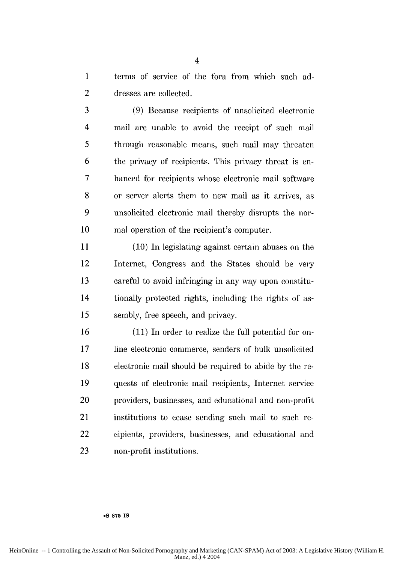1 terms of service of the fora from which such ad-2 dresses are collected.

3 (9) Because recipients of unsolicited electronic 4 mail are unable to avoid the receipt of such mail 5 through reasonable means, such mail may threaten 6 the privacy of recipients. This privacy threat is en-7 hanced for recipients whose electronic mail software 8 or server alerts them to new mail as it arrives, as 9 unsolicited electronic mail thereby disrupts the nor-10 mal operation of the recipient's computer.

11 (10) In legislating against certain abuses on the 12 Internet, Congress and the States should be very 13 careful to avoid infringing in any way upon constitu-14 tionally protected rights, including the rights of as-*15* sembly, free speech, and privacy.

16 (11) In order to realize the full potential for on-17 line electronic commerce, senders of bulk unsolicited 18 electronic mail should be required to abide by the re-19 quests of electronic mail recipients, Internet service 20 providers, businesses, and educational and non-profit 21 institutions to cease sending such mail to such re-22 cipients, providers, businesses, and educational and 23 non-profit institutions.

4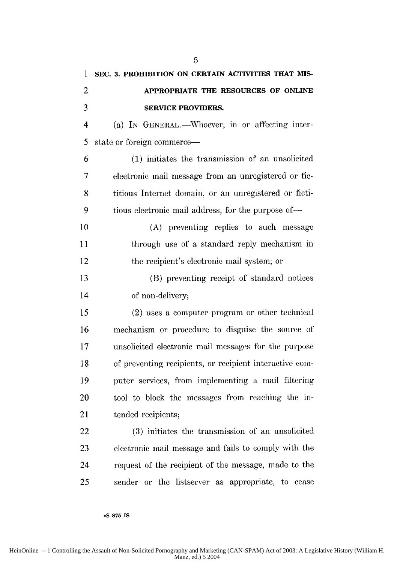**1 SEC. 3. PROHIBITION ON CERTAIN ACTIVITIES THAT MIS-**2 **APPROPRIATE THE RESOURCES OF ONLINE 3 SERVICE PROVIDERS.** 4 (a) IN GENERAL.—Whoever, in or affecting inter-5 state or foreign commerce— 6 (1) initiates the transmission of an unsolicited 7 electronic mail message from an unregistered or fie-8 titious Internet domain, or an unregistered or ficti-9 tious electronic mail address, for the purpose of-10 (A) preventing replies to such message 11 through use of a standard reply mechanism in 12 the recipient's electronic mail system; or 13 (B) preventing receipt of standard notices 14 of non-delivery; *15* (2) uses a computer program or other technical 16 mechanism or procedure to disguise the source of 17 unsolicited electronic mail messages for the purpose 18 of preventing recipients, or recipient interactive com-19 puter services, from implementing a mail filtering 20 tool to block the messages from reaching the in-21 tended recipients; 22 (3) initiates the transmission of an unsolicited 23 electronic mail message and fails to comply with the 24 request of the recipient of the message, made to the 25 sender or the listserver as appropriate, to cease

5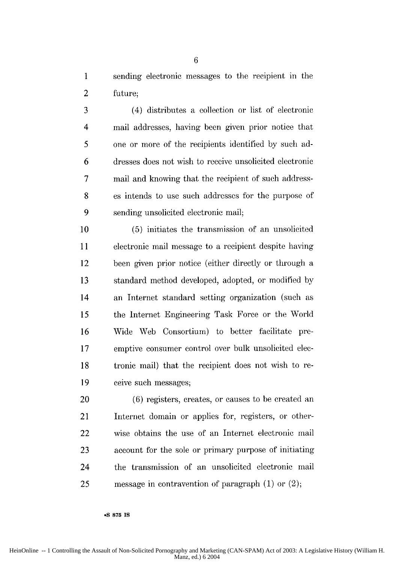1 sending electronic messages to the recipient in the 2 future;

3 (4) distributes a collection or list of electronic 4 mail addresses, having been given prior notice that 5 one or more of the recipients identified by such ad-6 dresses does not wish to receive unsolicited electronic 7 mail and knowing that the recipient of such address-8 es intends to use such addresses for the purpose of 9 sending unsolicited electronic mail;

10 (5) initiates the transmission of an unsolicited 11 electronic mail message to a recipient despite having 12 been given prior notice (either directly or through a 13 standard method developed, adopted, or modified by 14 an Internet standard setting organization (such as 15 the internet Engineering Task Force or the World 16 Wide Web Consortium) to better facilitate pre-17 emptive consumer control over bulk unsolicited elec-18 tronic mail) that the recipient does not wish to re-19 ceive such messages;

20 (6) registers, creates, or causes to be created an 21 Internet domain or applies for, registers, or other-22 wise obtains the use of an Internet electronic mail 23 account for the sole or primary purpose of initiating 24 the transmission of an unsolicited electronic mail 25 message in contravention of paragraph  $(1)$  or  $(2)$ ;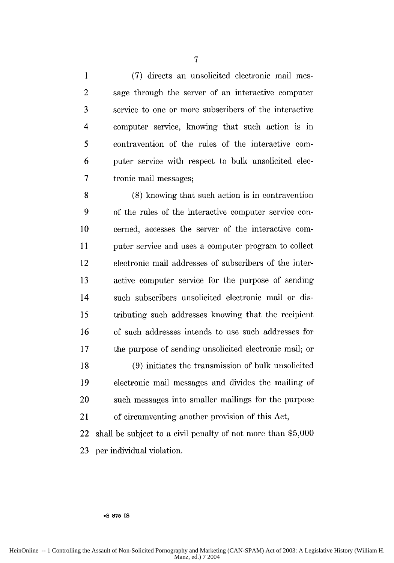1 (7) directs an unsolicited electronic mail mes-2 sage through the server of an interactive computer 3 service to one or more subscribers of the interactive 4 computer service, knowing that such action is in 5 contravention of the rules of the interactive com-6 puter service with respect to bulk unsolicited elee-7 tronic mail messages;

8 (8) knowing that such action is in contravention 9 of the rules of the interactive computer service con-10 cerned, accesses the server of the interactive com-11 puter service and uses a computer program to collect 12 electronic mail addresses of subscribers of the inter-13 active computer service for the purpose of sending 14 such subscribers unsolicited electronic mail or dis-15 tributing such addresses knowing that the recipient 16 of such addresses intends to use such addresses for 17 the purpose of sending unsolicited electronic mail; or 18 (9) initiates the transmission of bulk unsolicited 19 electronic mail messages and divides the mailing of 20 such messages into smaller mailings for the purpose 21 of circumventing another provision of this Act,

22 shall be subject to a civil penalty of not more than \$5,000 23 per individual violation.

#### **\*S 875 IS**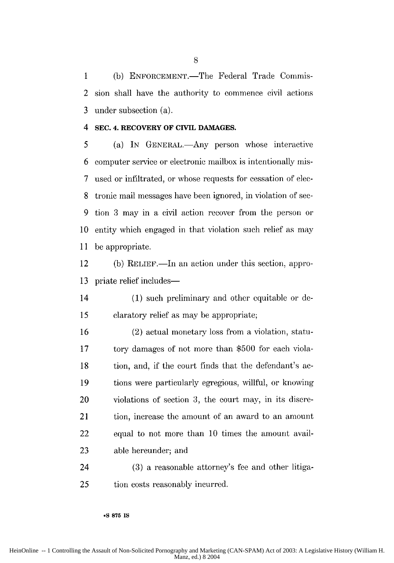1 (b) ENFORCEMENT.—The Federal Trade Commis-2 sion shall have the authority to commence civil actions 3 under subsection (a).

### 4 **SEC. 4. RECOVERY OF CIVIL DAMAGES.**

5 (a) IN GENERAL.—Any person whose interactive 6 computer service or electronic mailbox is intentionally mis-7 used or infiltrated, or whose requests for cessation of elec-8 tronic mail messages have been ignored, in violation of see-9 tion 3 may in a civil action recover from the person or 10 entity which engaged in that violation such relief as may 11 be appropriate.

12 (b) RELIEF.—In an action under this section, appro-13 priate relief includes—

14 (1) such preliminary and other equitable or de-15 claratory relief as may be appropriate;

16 (2) actual monetary loss from a violation, statu-17 tory damages of not more than \$500 for each viola-18 tion, and, if the court finds that the defendant's ac-19 tions were particularly egregious, willful, or knowing 20 violations of section 3, the court may, in its discre-21 tion, increase the amount of an award to an amount 22 equal to not more than 10 times the amount avail-23 able hereunder; and

24 (3) a reasonable attorney's fee and other litiga-25 tion costs reasonably incurred.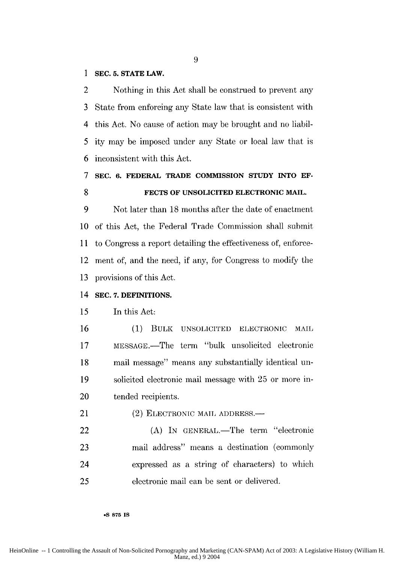#### 1 **SEC. 5. STATE LAW.**

2 Nothing in this Act shall be construed to prevent any 3 State from enforcing any State law that is consistent with 4 this Act. No cause of action may be brought and no liabil-*5* ity may be imposed under any State or local law that is 6 inconsistent with this Act.

## **7 SEC. 6. FEDERAL TRADE COMMISSION STUDY INTO EF-8 FECTS OF UNSOLICITED ELECTRONIC MAIL.**

9 Not later than 18 months after the date of enactment 10 of this Act, the Federal Trade Commission shall submit 11 to Congress a report detailing the effectiveness of, enforce-12 ment of, and the need, if any, for Congress to modify the 13 provisions of this Act.

#### 14 **SEC. 7. DEFINITIONS.**

#### 15 In this Act:

16 (1) BULK UNSOLICITED ELECTRONIC MAIL 17 MESSAGE.—The term "bulk unsolicited electronic 18 mail message" means any substantially identical un-19 solicited electronic mail message with 25 or more in-20 tended recipients.

21 (2) ELECTRONIC MAIL ADDRESS.—

22 (A) In GENERAL.—The term "electronic 23 mail address" means a destination (commoliy 24 expressed as a string of characters) to which 25 electronic mail can be sent or delivered.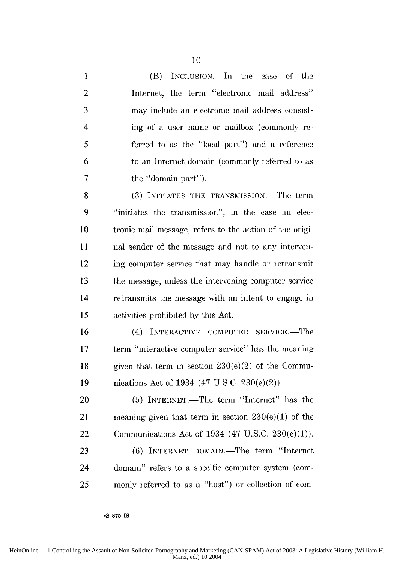1 (B) INCLUSION.—In the case of the 2 Internet, the term "electronic mail address" 3 may include an electronic mail address consist-4 ing of a user name or mailbox (commonly re-5 ferred to as the "local part") and a reference 6 to an Internet domain (commonly referred to as **7** the "domain part"). 8 (3) INITIATES THE TRANSMISSION.—The term 9 "initiates the transmission", in the case an elec-10 tronic mail message, refers to the action of the origi-11 nal sender of the message and not to any interven-12 ing computer service that may handle or retransmit 13 the message, unless the intervening computer service 14 retransmits the message with an intent to engage in 15 activities prohibited by this Act. 16 (4) INTERACTIVE COMPUTER SERVICE.—The

**17** term "interactive computer service" has the meaning 18 given that term in section  $230(e)(2)$  of the Commu-19 nications Act of 1934 (47 U.S.C. 230(e)(2)).

20 (5) INTERNET.—The term "Internet" has the 21 meaning given that term in section 230(e)(1) of the 22 Communications Act of 1934 (47 U.S.C. 230(e)(1)).

23 (6) INTERNET DOMAIN.—The term "Internet 24 domain" refers to a specific computer system (com-25 morny referred to as a "host") or collection of con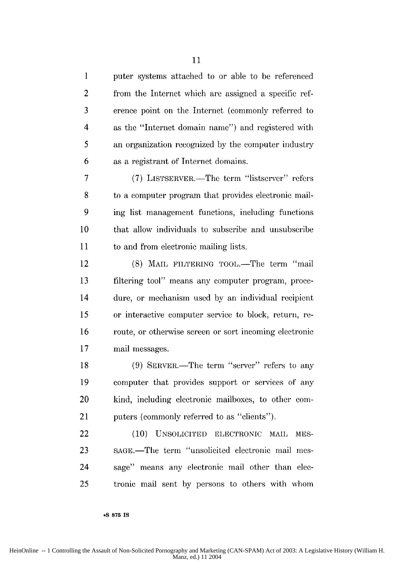1 puter systems attached to or able to be referenced 2 from the Internet which are assigned a specific ref-3 erence point on the Internet (commonly referred to 4 as the "Internet domain name") and registered with 5 an organization recognized by the computer industry 6 as a registrant of Internet domains.

7 (7) LISTSERVER.-The term "listserver" refers 8 to a computer program that provides electronic mail-9 ing list management functions, including functions 10 that allow individuals to subscribe and unsubscribe 11 to and from electronic mailing lists.

12 (8) MAIL FILTERING TOOL.—The term "mail 13 filtering tool" means any computer program, proce-14 dure, or mechanism used by an individual recipient 15 or interactive computer service to block, return, re-16 route, or otherwise screen or sort incoming electronic **17** mail messages.

18 (9) SERVER.—The term "server" refers to any 19 computer that provides support or services of any 20 kind, including electronic mailboxes, to other com-21 puters (commonly referred to as "clients").

22 (10) UNSOLICITED ELECTRONIC MAIL MES-23 SAGE.-The term "unsolicited electronic mail mes-24 sage" means any electronic mail other than dec-25 tronie mail sent by persons to others with whom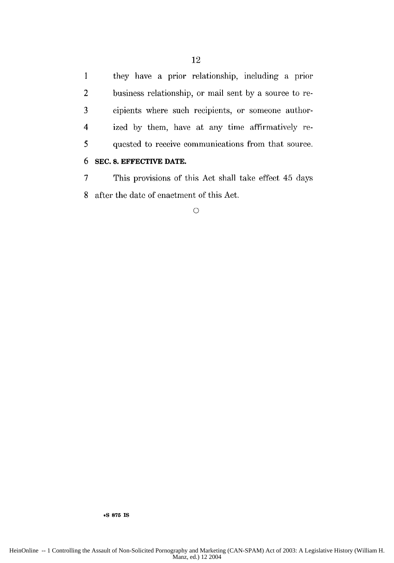**1** they have a prior relationship, including a prior 2 business relationship, or mail sent by a source to re-3 cipients where such recipients, or someone author-4 ized by them, have at any time affirmatively re-5 quested to receive communications from that source.

## **6 SEC. 8. EFFECTIVE DATE.**

7 This provisions of this Act shall take effect 45 days 8 after the date of enactment of this Act.

**0**

12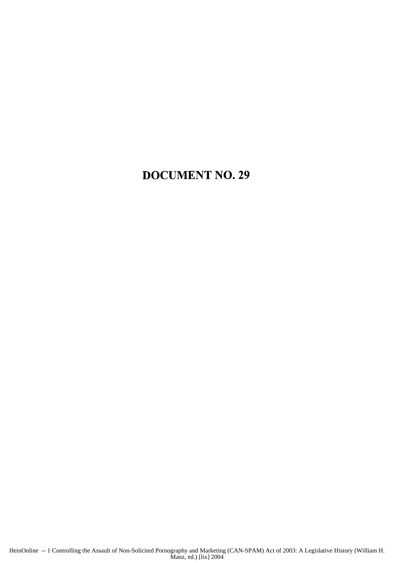## **DOCUMENT NO. 29**